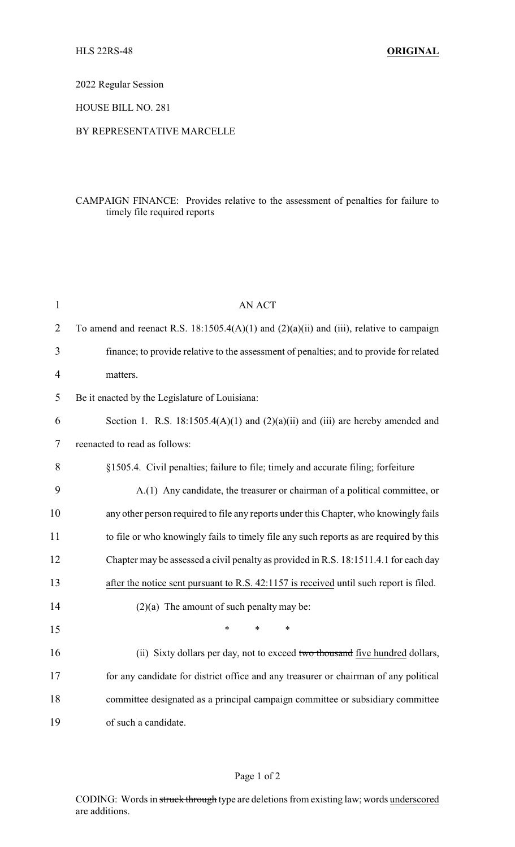2022 Regular Session

HOUSE BILL NO. 281

## BY REPRESENTATIVE MARCELLE

## CAMPAIGN FINANCE: Provides relative to the assessment of penalties for failure to timely file required reports

| $\mathbf{1}$   | <b>AN ACT</b>                                                                              |
|----------------|--------------------------------------------------------------------------------------------|
| $\overline{2}$ | To amend and reenact R.S. 18:1505.4(A)(1) and $(2)(a)(ii)$ and (iii), relative to campaign |
| 3              | finance; to provide relative to the assessment of penalties; and to provide for related    |
| $\overline{4}$ | matters.                                                                                   |
| 5              | Be it enacted by the Legislature of Louisiana:                                             |
| 6              | Section 1. R.S. $18:1505.4(A)(1)$ and $(2)(a)(ii)$ and (iii) are hereby amended and        |
| 7              | reenacted to read as follows:                                                              |
| 8              | §1505.4. Civil penalties; failure to file; timely and accurate filing; forfeiture          |
| 9              | A.(1) Any candidate, the treasurer or chairman of a political committee, or                |
| 10             | any other person required to file any reports under this Chapter, who knowingly fails      |
| 11             | to file or who knowingly fails to timely file any such reports as are required by this     |
| 12             | Chapter may be assessed a civil penalty as provided in R.S. 18:1511.4.1 for each day       |
| 13             | after the notice sent pursuant to R.S. 42:1157 is received until such report is filed.     |
| 14             | $(2)(a)$ The amount of such penalty may be:                                                |
| 15             | *<br>$\ast$<br>$\ast$                                                                      |
| 16             | (ii) Sixty dollars per day, not to exceed two thousand five hundred dollars,               |
| 17             | for any candidate for district office and any treasurer or chairman of any political       |
| 18             | committee designated as a principal campaign committee or subsidiary committee             |
| 19             | of such a candidate.                                                                       |

## Page 1 of 2

CODING: Words in struck through type are deletions from existing law; words underscored are additions.